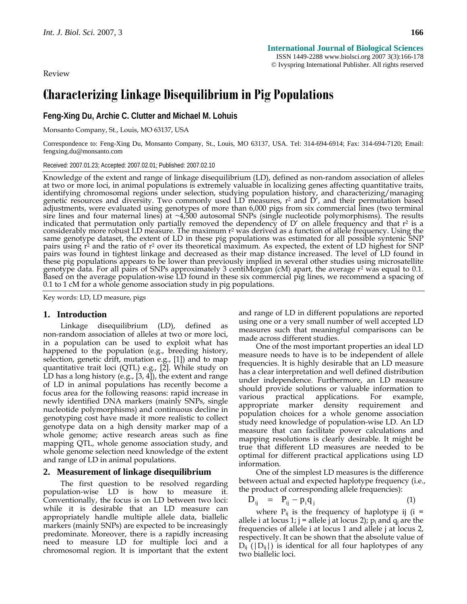Review

# **Characterizing Linkage Disequilibrium in Pig Populations**

**Feng-Xing Du, Archie C. Clutter and Michael M. Lohuis** 

Monsanto Company, St., Louis, MO 63137, USA

Correspondence to: Feng-Xing Du, Monsanto Company, St., Louis, MO 63137, USA. Tel: 314-694-6914; Fax: 314-694-7120; Email: fengxing.du@monsanto.com

Received: 2007.01.23; Accepted: 2007.02.01; Published: 2007.02.10

Knowledge of the extent and range of linkage disequilibrium (LD), defined as non-random association of alleles at two or more loci, in animal populations is extremely valuable in localizing genes affecting quantitative traits, identifying chromosomal regions under selection, studying population history, and characterizing/managing genetic resources and diversity. Two commonly used LD measures, r<sup>2</sup> and D', and their permutation based adjustments, were evaluated using genotypes of more than 6,000 pigs from six commercial lines (two terminal sire lines and four maternal lines) at  $\sim$ 4,500 autosomal SNPs (single nucleotide polymorphisms). The results indicated that permutation only partially removed the dependency of D' on allele frequency and that  $r^2$  is a considerably more robust LD measure. The maximum  $r^2$  was derived as a function of allele frequency. Using th same genotype dataset, the extent of LD in these pig populations was estimated for all possible syntenic SNP pairs using  $\vec{r}^2$  and the ratio of  $\vec{r}^2$  over its theoretical maximum. As expected, the extent of LD highest for SNP pairs was found in tightest linkage and decreased as their map distance increased. The level of these pig populations appears to be lower than previously implied in several other studies using microsatellite genotype data. For all pairs of SNPs approximately 3 centiMorgan (cM) apart, the average r<sup>2</sup> was equal to 0.1.<br>Based on the average population-wise LD found in these six commercial pig lines, we recommend a spacing of 0.1 to 1 cM for a whole genome association study in pig populations.

Key words: LD, LD measure, pigs

#### **1. Introduction**

Linkage disequilibrium (LD), defined as non-random association of alleles at two or more loci, in a population can be used to exploit what has happened to the population (e.g., breeding history, selection, genetic drift, mutation e.g., [1]) and to map quantitative trait loci (QTL) e.g., [2]. While study on LD has a long history (e.g.,  $[3, 4]$ ), the extent and range of LD in animal populations has recently become a focus area for the following reasons: rapid increase in newly identified DNA markers (mainly SNPs, single nucleotide polymorphisms) and continuous decline in genotyping cost have made it more realistic to collect genotype data on a high density marker map of a whole genome; active research areas such as fine mapping QTL, whole genome association study, and whole genome selection need knowledge of the extent and range of LD in animal populations.

#### **2. Measurement of linkage disequilibrium**

The first question to be resolved regarding population-wise LD is how to measure it. Conventionally, the focus is on LD between two loci: while it is desirable that an LD measure can appropriately handle multiple allele data, biallelic markers (mainly SNPs) are expected to be increasingly predominate. Moreover, there is a rapidly increasing need to measure LD for multiple loci and a chromosomal region. It is important that the extent and range of LD in different populations are reported using one or a very small number of well accepted LD measures such that meaningful comparisons can be made across different studies.

One of the most important properties an ideal LD measure needs to have is to be independent of allele frequencies. It is highly desirable that an LD measure has a clear interpretation and well defined distribution under independence. Furthermore, an LD measure should provide solutions or valuable information to various practical applications. For example, appropriate marker density requirement and population choices for a whole genome association study need knowledge of population-wise LD. An LD measure that can facilitate power calculations and mapping resolutions is clearly desirable. It might be true that different LD measures are needed to be optimal for different practical applications using LD information.

One of the simplest LD measures is the difference between actual and expected haplotype frequency (i.e., the product of corresponding allele frequencies):

$$
D_{ij} = P_{ij} - p_i q_j \tag{1}
$$

where  $P_{ij}$  is the frequency of haplotype ij (i = allele i at locus 1; j = allele j at locus 2);  $p_i$  and  $q_i$  are the frequencies of allele i at locus 1 and allele j at locus 2, respectively. It can be shown that the absolute value of  $D_{ii}$  ( $|D_{ii}|$ ) is identical for all four haplotypes of any two biallelic loci.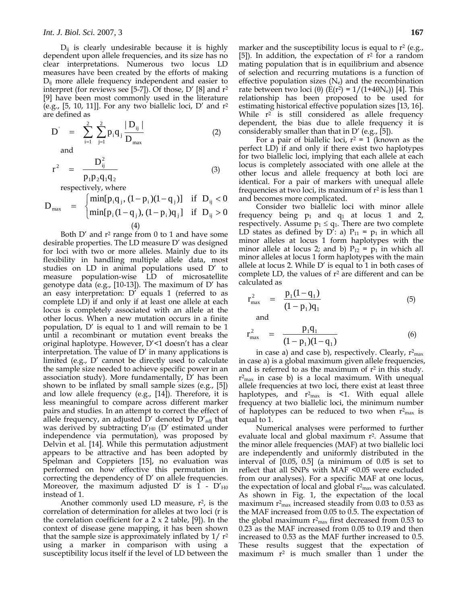$D_{ii}$  is clearly undesirable because it is highly dependent upon allele frequencies, and its size has no clear interpretations. Numerous two locus LD measures have been created by the efforts of making  $D_{ii}$  more allele frequency independent and easier to interpret (for reviews see [5-7]). Of those, D' [8] and  $r^2$ [9] have been most commonly used in the literature (e.g., [5, 10, 11]]. For any two biallelic loci, D' and  $r^2$ are defined as

$$
D = \sum_{i=1}^{2} \sum_{j=1}^{2} p_i q_j \frac{|D_{ij}|}{D_{max}}
$$
 (2)

and

$$
r^{2} = \frac{D_{ij}^{2}}{p_{1}p_{2}q_{1}q_{2}} \tag{3}
$$

respectively, where

$$
D_{\max} = \begin{cases} \min[p_i q_j, (1 - p_i)(1 - q_j)] & \text{if } D_{ij} < 0\\ \min[p_i (1 - q_j), (1 - p_i) q_j] & \text{if } D_{ij} > 0 \end{cases}
$$
  
(4)

Both  $D'$  and  $r^2$  range from 0 to 1 and have some desirable properties. The LD measure D' was designed for loci with two or more alleles. Mainly due to its flexibility in handling multiple allele data, most studies on LD in animal populations used D' to measure population-wise LD of microsatellite genotype data (e.g., [10-13]). The maximum of D' has an easy interpretation: D' equals 1 (referred to as complete LD) if and only if at least one allele at each locus is completely associated with an allele at the other locus. When a new mutation occurs in a finite population, D' is equal to 1 and will remain to be 1 until a recombinant or mutation event breaks the original haplotype. However, D'<1 doesn't has a clear interpretation. The value of  $D'$  in many applications is limited (e.g., D' cannot be directly used to calculate the sample size needed to achieve specific power in an association study). More fundamentally, D' has been shown to be inflated by small sample sizes (e.g., [5]) and low allele frequency (e.g., [14]). Therefore, it is less meaningful to compare across different marker pairs and studies. In an attempt to correct the effect of allele frequency, an adjusted  $D'$  denoted by  $D'_{adj}$  that was derived by subtracting  $D'_{H0}$  (D' estimated under independence via permutation), was proposed by Delvin et al. [14]. While this permutation adjustment appears to be attractive and has been adopted by Spelman and Coppieters [15], no evaluation was performed on how effective this permutation in correcting the dependency of D' on allele frequencies. Moreover, the maximum adjusted D' is  $1 - D'_{H0}$ instead of 1.

Another commonly used LD measure,  $r^2$ , is the correlation of determination for alleles at two loci (r is the correlation coefficient for a  $2 \times 2$  table, [9]). In the context of disease gene mapping, it has been shown that the sample size is approximately inflated by  $1/ r^2$ using a marker in comparison with using a susceptibility locus itself if the level of LD between the marker and the susceptibility locus is equal to  $r^2$  (e.g., [5]). In addition, the expectation of  $r^2$  for a random mating population that is in equilibrium and absence of selection and recurring mutations is a function of effective population sizes  $(N_e)$  and the recombination rate between two loci (θ) ( $E(r^2) = 1/(1+4\theta N_e)$ ) [4]. This relationship has been proposed to be used for estimating historical effective population sizes [13, 16]. While r<sup>2</sup> is still considered as allele frequency dependent, the bias due to allele frequency it is considerably smaller than that in D' (e.g., [5]).

For a pair of biallelic loci,  $r^2 = 1$  (known as the perfect LD) if and only if there exist two haplotypes for two biallelic loci, implying that each allele at each locus is completely associated with one allele at the other locus and allele frequency at both loci are identical. For a pair of markers with unequal allele frequencies at two loci, its maximum of  $r^2$  is less than 1 and becomes more complicated.

Consider two biallelic loci with minor allele frequency being  $p_1$  and  $q_1$  at locus 1 and 2, respectively. Assume  $p_1 \le q_1$ . There are two complete LD states as defined by D': a)  $P_{11} = p_1$  in which all minor alleles at locus 1 form haplotypes with the minor allele at locus 2; and b)  $P_{12} = p_1$  in which all minor alleles at locus 1 form haplotypes with the main allele at locus 2. While  $D'$  is equal to 1 in both cases of complete LD, the values of  $r^2$  are different and can be calculated as

$$
r_{\max}^2 = \frac{p_1(1 - q_1)}{(1 - p_1)q_1}
$$
 (5)

and

$$
r_{\text{max}}^2 = \frac{p_1 q_1}{(1 - p_1)(1 - q_1)} \tag{6}
$$

in case a) and case b), respectively. Clearly,  $r^2$ <sub>max</sub> in case a) is a global maximum given allele frequencies, and is referred to as the maximum of  $r^2$  in this study. r2 max in case b) is a local maximum. With unequal allele frequencies at two loci, there exist at least three haplotypes, and  $r<sup>2</sup>_{max}$  is <1. With equal allele frequency at two biallelic loci, the minimum number of haplotypes can be reduced to two when  $r<sup>2</sup>$ <sub>max</sub> is equal to 1.

Numerical analyses were performed to further evaluate local and global maximum r<sup>2</sup>. Assume that the minor allele frequencies (MAF) at two biallelic loci are independently and uniformly distributed in the interval of [0.05, 0.5] (a minimum of 0.05 is set to reflect that all SNPs with MAF <0.05 were excluded from our analyses). For a specific MAF at one locus, the expectation of local and global  $r<sup>2</sup>$ <sub>max</sub> was calculated. As shown in Fig. 1, the expectation of the local maximum  $r<sup>2</sup>$ <sub>max</sub> increased steadily from 0.03 to 0.53 as the MAF increased from 0.05 to 0.5. The expectation of the global maximum  $r<sup>2</sup>$ <sub>max</sub> first decreased from 0.53 to 0.23 as the MAF increased from 0.05 to 0.19 and then increased to 0.53 as the MAF further increased to 0.5. These results suggest that the expectation of maximum  $r^2$  is much smaller than 1 under the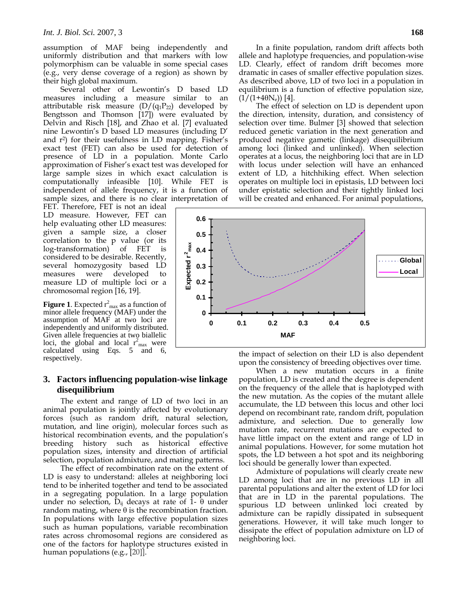assumption of MAF being independently and uniformly distribution and that markers with low polymorphism can be valuable in some special cases (e.g., very dense coverage of a region) as shown by their high global maximum.

Several other of Lewontin's D based LD measures including a measure similar to an attributable risk measure  $(D/(q_1P_{22})$  developed by Bengtsson and Thomson [17]) were evaluated by Delvin and Risch [18], and Zhao et al. [7] evaluated nine Lewontin's D based LD measures (including D' and r2) for their usefulness in LD mapping. Fisher's exact test (FET) can also be used for detection of presence of LD in a population. Monte Carlo approximation of Fisher's exact test was developed for large sample sizes in which exact calculation is computationally infeasible [10]. While FET is independent of allele frequency, it is a function of sample sizes, and there is no clear interpretation of

FET. Therefore, FET is not an ideal LD measure. However, FET can help evaluating other LD measures: given a sample size, a closer correlation to the p value (or its log-transformation) of FET is considered to be desirable. Recently, several homozygosity based LD measures were developed to measure LD of multiple loci or a chromosomal region [16, 19].

**Figure 1.** Expected  $r_{\text{max}}^2$  as a function of minor allele frequency (MAF) under the assumption of MAF at two loci are independently and uniformly distributed. Given allele frequencies at two biallelic loci, the global and local  $r_{\text{max}}^2$  were calculated using Eqs. 5 and 6, respectively.

## **3. Factors influencing population-wise linkage disequilibrium**

The extent and range of LD of two loci in an animal population is jointly affected by evolutionary forces (such as random drift, natural selection, mutation, and line origin), molecular forces such as historical recombination events, and the population's breeding history such as historical effective population sizes, intensity and direction of artificial selection, population admixture, and mating patterns.

The effect of recombination rate on the extent of LD is easy to understand: alleles at neighboring loci tend to be inherited together and tend to be associated in a segregating population. In a large population under no selection,  $\overline{D}_{ij}$  decays at rate of  $\overline{1}$ -  $\overline{\theta}$  under random mating, where θ is the recombination fraction. In populations with large effective population sizes such as human populations, variable recombination rates across chromosomal regions are considered as one of the factors for haplotype structures existed in human populations (e.g., [20]].

In a finite population, random drift affects both allele and haplotype frequencies, and population-wise LD. Clearly, effect of random drift becomes more dramatic in cases of smaller effective population sizes. As described above, LD of two loci in a population in equilibrium is a function of effective population size,  $(1/(1+4\theta N_e))$  [4].

The effect of selection on LD is dependent upon the direction, intensity, duration, and consistency of selection over time. Bulmer [3] showed that selection reduced genetic variation in the next generation and produced negative gametic (linkage) disequilibrium among loci (linked and unlinked). When selection operates at a locus, the neighboring loci that are in LD with locus under selection will have an enhanced extent of LD, a hitchhiking effect. When selection operates on multiple loci in epistasis, LD between loci under epistatic selection and their tightly linked loci will be created and enhanced. For animal populations,



the impact of selection on their LD is also dependent upon the consistency of breeding objectives over time.

When a new mutation occurs in a finite population, LD is created and the degree is dependent on the frequency of the allele that is haplotyped with the new mutation. As the copies of the mutant allele accumulate, the LD between this locus and other loci depend on recombinant rate, random drift, population admixture, and selection. Due to generally low mutation rate, recurrent mutations are expected to have little impact on the extent and range of LD in animal populations. However, for some mutation hot spots, the LD between a hot spot and its neighboring loci should be generally lower than expected.

Admixture of populations will clearly create new LD among loci that are in no previous LD in all parental populations and alter the extent of LD for loci that are in LD in the parental populations. The spurious LD between unlinked loci created by admixture can be rapidly dissipated in subsequent generations. However, it will take much longer to dissipate the effect of population admixture on LD of neighboring loci.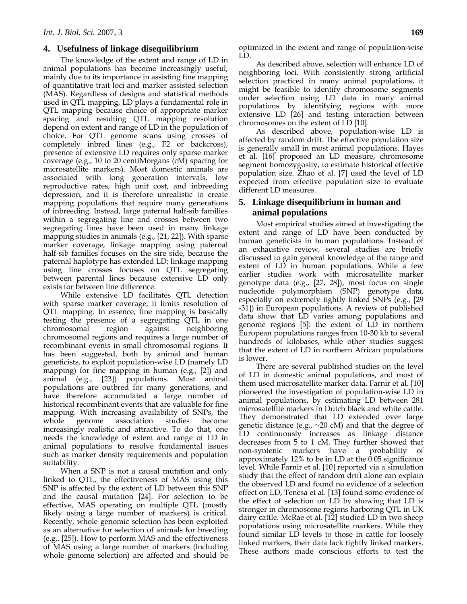#### **4. Usefulness of linkage disequilibrium**

The knowledge of the extent and range of LD in animal populations has become increasingly useful, mainly due to its importance in assisting fine mapping of quantitative trait loci and marker assisted selection (MAS). Regardless of designs and statistical methods used in QTL mapping, LD plays a fundamental role in QTL mapping because choice of appropriate marker spacing and resulting QTL mapping resolution depend on extent and range of LD in the population of choice. For QTL genome scans using crosses of completely inbred lines (e.g., F2 or backcross), presence of extensive LD requires only sparse marker coverage (e.g., 10 to 20 centiMorgans (cM) spacing for microsatellite markers). Most domestic animals are associated with long generation intervals, low reproductive rates, high unit cost, and inbreeding depression, and it is therefore unrealistic to create mapping populations that require many generations of inbreeding. Instead, large paternal half-sib families within a segregating line and crosses between two segregating lines have been used in many linkage mapping studies in animals (e.g., [21, 22]). With sparse marker coverage, linkage mapping using paternal half-sib families focuses on the sire side, because the paternal haplotype has extended LD; linkage mapping using line crosses focuses on QTL segregating between parental lines because extensive LD only exists for between line difference.

While extensive LD facilitates QTL detection with sparse marker coverage, it limits resolution of QTL mapping. In essence, fine mapping is basically testing the presence of a segregating QTL in one chromosomal region against neighboring chromosomal regions and requires a large number of recombinant events in small chromosomal regions. It has been suggested, both by animal and human geneticists, to exploit population-wise LD (namely LD mapping) for fine mapping in human (e.g., [2]) and animal (e.g., [23]) populations. Most animal populations are outbred for many generations, and have therefore accumulated a large number of historical recombinant events that are valuable for fine mapping. With increasing availability of SNPs, the whole genome association studies become increasingly realistic and attractive. To do that, one needs the knowledge of extent and range of LD in animal populations to resolve fundamental issues such as marker density requirements and population suitability.

When a SNP is not a causal mutation and only linked to QTL, the effectiveness of MAS using this SNP is affected by the extent of LD between this SNP and the causal mutation [24]. For selection to be effective, MAS operating on multiple QTL (mostly likely using a large number of markers) is critical. Recently, whole genomic selection has been exploited as an alternative for selection of animals for breeding (e.g., [25]). How to perform MAS and the effectiveness of MAS using a large number of markers (including whole genome selection) are affected and should be optimized in the extent and range of population-wise LD.

As described above, selection will enhance LD of neighboring loci. With consistently strong artificial selection practiced in many animal populations, it might be feasible to identify chromosome segments under selection using LD data in many animal populations by identifying regions with more extensive LD [26] and testing interaction between chromosomes on the extent of LD [10].

As described above, population-wise LD is affected by random drift. The effective population size is generally small in most animal populations. Hayes et al. [16] proposed an LD measure, chromosome segment homozygosity, to estimate historical effective population size. Zhao et al. [7] used the level of LD expected from effective population size to evaluate different LD measures.

# **5. Linkage disequilibrium in human and animal populations**

Most empirical studies aimed at investigating the extent and range of LD have been conducted by human geneticists in human populations. Instead of an exhaustive review, several studies are briefly discussed to gain general knowledge of the range and extent of LD in human populations. While a few earlier studies work with microsatellite marker genotype data (e.g., [27, 28]), most focus on single nucleotide polymorphism (SNP) genotype data, especially on extremely tightly linked SNPs (e.g., [29 -31]) in European populations. A review of published data show that LD varies among populations and genome regions [5]: the extent of LD in northern European populations ranges from 10-30 kb to several hundreds of kilobases, while other studies suggest that the extent of LD in northern African populations is lower.

There are several published studies on the level of LD in domestic animal populations, and most of them used microsatellite marker data. Farnir et al. [10] pioneered the investigation of population-wise LD in animal populations, by estimating LD between 281 microsatellite markers in Dutch black and white cattle. They demonstrated that LD extended over large genetic distance (e.g., ~20 cM) and that the degree of LD continuously increases as linkage distance decreases from 5 to 1 cM. They further showed that non-syntenic markers have a probability of approximately 12% to be in LD at the 0.05 significance level. While Farnir et al. [10] reported via a simulation study that the effect of random drift alone can explain the observed LD and found no evidence of a selection effect on LD, Tenesa et al. [13] found some evidence of the effect of selection on LD by showing that LD is stronger in chromosome regions harboring QTL in UK dairy cattle. McRae et al. [12] studied LD in two sheep populations using microsatellite markers. While they found similar LD levels to those in cattle for loosely linked markers, their data lack tightly linked markers. These authors made conscious efforts to test the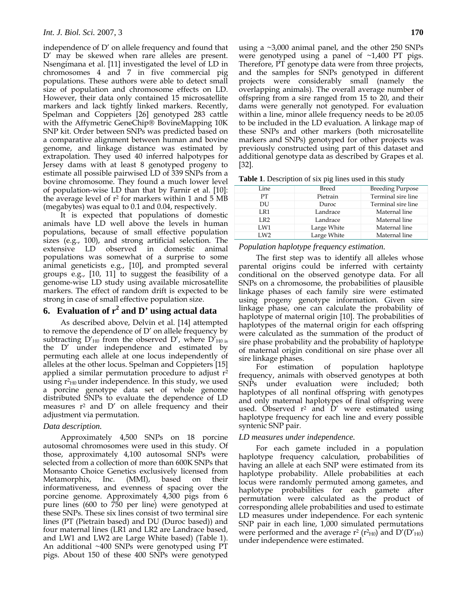independence of D' on allele frequency and found that D' may be skewed when rare alleles are present. Nsengimana et al. [11] investigated the level of LD in chromosomes 4 and 7 in five commercial pig populations. These authors were able to detect small size of population and chromosome effects on LD. However, their data only contained 15 microsatellite markers and lack tightly linked markers. Recently, Spelman and Coppieters [26] genotyped 283 cattle with the Affymetric GeneChip® BovineMapping 10K SNP kit. Order between SNPs was predicted based on a comparative alignment between human and bovine genome, and linkage distance was estimated by extrapolation. They used 40 inferred halpotypes for Jersey dams with at least 8 genotyped progeny to estimate all possible pairwised LD of 339 SNPs from a bovine chromosome. They found a much lower level of population-wise LD than that by Farnir et al. [10]: the average level of  $r^2$  for markers within 1 and 5 MB (megabytes) was equal to 0.1 and 0.04, respectively.

It is expected that populations of domestic animals have LD well above the levels in human populations, because of small effective population sizes (e.g., 100), and strong artificial selection. The extensive LD observed in domestic animal populations was somewhat of a surprise to some animal geneticists e.g., [10], and prompted several groups e.g., [10, 11] to suggest the feasibility of a genome-wise LD study using available microsatellite markers. The effect of random drift is expected to be strong in case of small effective population size.

# **6. Evaluation of r<sup>2</sup> and D' using actual data**

As described above, Delvin et al. [14] attempted to remove the dependence of D' on allele frequency by subtracting  $D'_{H0}$  from the observed D', where  $D'_{H0}$  is the D' under independence and estimated by permuting each allele at one locus independently of alleles at the other locus. Spelman and Coppieters [15] applied a similar permutation procedure to adjust r<sup>2</sup> using r2 H0 under independence. In this study, we used a porcine genotype data set of whole genome distributed SNPs to evaluate the dependence of LD measures  $r^2$  and  $D'$  on allele frequency and their adjustment via permutation.

#### *Data description.*

Approximately 4,500 SNPs on 18 porcine autosomal chromosomes were used in this study. Of those, approximately 4,100 autosomal SNPs were selected from a collection of more than 600K SNPs that Monsanto Choice Genetics exclusively licensed from Metamorphix, Inc. (MMI), based on their informativeness, and evenness of spacing over the porcine genome. Approximately 4,300 pigs from 6 pure lines (600 to 750 per line) were genotyped at these SNPs. These six lines consist of two terminal sire lines (PT (Pietrain based) and DU (Duroc based)) and four maternal lines (LR1 and LR2 are Landrace based, and LW1 and LW2 are Large White based) (Table 1). An additional ~400 SNPs were genotyped using PT pigs. About 150 of these 400 SNPs were genotyped

using a ~3,000 animal panel, and the other 250 SNPs were genotyped using a panel of  $\sim$ 1,400 PT pigs. Therefore, PT genotype data were from three projects, and the samples for SNPs genotyped in different projects were considerably small (namely the overlapping animals). The overall average number of offspring from a sire ranged from 15 to 20, and their dams were generally not genotyped. For evaluation within a line, minor allele frequency needs to be  $\geq 0.05$ to be included in the LD evaluation. A linkage map of these SNPs and other markers (both microsatellite markers and SNPs) genotyped for other projects was previously constructed using part of this dataset and additional genotype data as described by Grapes et al. [32].

| Line | Breed       | <b>Breeding Purpose</b> |
|------|-------------|-------------------------|
| PТ   | Pietrain    | Terminal sire line      |
| DU   | Duroc       | Terminal sire line      |
| LR1  | Landrace    | Maternal line           |
| LR2  | Landrace    | Maternal line           |
| LW1  | Large White | Maternal line           |
| LW2  | Large White | Maternal line           |

**Table 1**. Description of six pig lines used in this study

#### *Population haplotype frequency estimation.*

The first step was to identify all alleles whose parental origins could be inferred with certainty conditional on the observed genotype data. For all SNPs on a chromosome, the probabilities of plausible linkage phases of each family sire were estimated using progeny genotype information. Given sire linkage phase, one can calculate the probability of haplotype of maternal origin [10]. The probabilities of haplotypes of the maternal origin for each offspring were calculated as the summation of the product of sire phase probability and the probability of haplotype of maternal origin conditional on sire phase over all sire linkage phases.

For estimation of population haplotype frequency, animals with observed genotypes at both SNPs under evaluation were included; both haplotypes of all nonfinal offspring with genotypes and only maternal haplotypes of final offspring were used. Observed  $r^2$  and  $\bar{D}'$  were estimated using haplotype frequency for each line and every possible syntenic SNP pair.

#### *LD measures under independence.*

For each gamete included in a population haplotype frequency calculation, probabilities of having an allele at each SNP were estimated from its haplotype probability. Allele probabilities at each locus were randomly permuted among gametes, and haplotype probabilities for each gamete after permutation were calculated as the product of corresponding allele probabilities and used to estimate LD measures under independence. For each syntenic SNP pair in each line, 1,000 simulated permutations were performed and the average  $r^2$  ( $r^2$ <sub>H0</sub>) and  $D'(D'_{H0})$ under independence were estimated.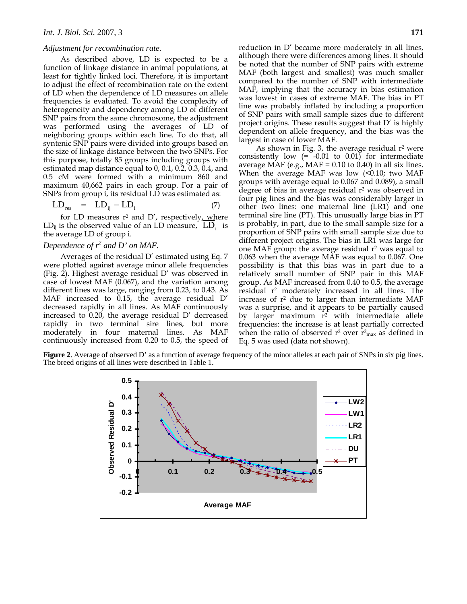#### *Adjustment for recombination rate.*

As described above, LD is expected to be a function of linkage distance in animal populations, at least for tightly linked loci. Therefore, it is important to adjust the effect of recombination rate on the extent of LD when the dependence of LD measures on allele frequencies is evaluated. To avoid the complexity of heterogeneity and dependency among LD of different SNP pairs from the same chromosome, the adjustment was performed using the averages of LD of neighboring groups within each line. To do that, all syntenic SNP pairs were divided into groups based on the size of linkage distance between the two SNPs. For this purpose, totally 85 groups including groups with estimated map distance equal to 0, 0.1, 0.2, 0.3, 0.4, and 0.5 cM were formed with a minimum 860 and maximum 40,662 pairs in each group. For a pair of SNPs from group i, its residual LD was estimated as:

$$
LD_{res} = LD_{ij} - \overline{LD}_i \tag{7}
$$

for LD measures  $r^2$  and D', respectively, where  $LD_{ij}$  is the observed value of an LD measure,  $LD_i$  is the average LD of group i.

# *Dependence of r2 and D' on MAF.*

Averages of the residual D' estimated using Eq. 7 were plotted against average minor allele frequencies (Fig. 2). Highest average residual D' was observed in case of lowest MAF (0.067), and the variation among different lines was large, ranging from 0.23, to 0.43. As MAF increased to  $\overline{0.15}$ , the average residual D' decreased rapidly in all lines. As MAF continuously increased to 0.20, the average residual D' decreased rapidly in two terminal sire lines, but more moderately in four maternal lines. As MAF continuously increased from 0.20 to 0.5, the speed of reduction in D' became more moderately in all lines, although there were differences among lines. It should be noted that the number of SNP pairs with extreme MAF (both largest and smallest) was much smaller compared to the number of SNP with intermediate MAF, implying that the accuracy in bias estimation was lowest in cases of extreme MAF. The bias in PT line was probably inflated by including a proportion of SNP pairs with small sample sizes due to different project origins. These results suggest that D' is highly dependent on allele frequency, and the bias was the largest in case of lower MAF.

As shown in Fig. 3, the average residual  $r^2$  were consistently low  $(= -0.01 \text{ to } 0.01)$  for intermediate average MAF (e.g., MAF =  $0.10$  to  $0.40$ ) in all six lines. When the average MAF was low (<0.10; two MAF groups with average equal to 0.067 and 0.089), a small degree of bias in average residual r2 was observed in four pig lines and the bias was considerably larger in other two lines: one maternal line (LR1) and one terminal sire line (PT). This unusually large bias in PT is probably, in part, due to the small sample size for a proportion of SNP pairs with small sample size due to different project origins. The bias in LR1 was large for one MAF group: the average residual  $r<sup>2</sup>$  was equal to 0.063 when the average MAF was equal to 0.067. One possibility is that this bias was in part due to a relatively small number of SNP pair in this MAF group. As MAF increased from 0.40 to 0.5, the average residual r2 moderately increased in all lines. The increase of  $r^2$  due to larger than intermediate MAF was a surprise, and it appears to be partially caused by larger maximum  $r^2$  with intermediate allele frequencies: the increase is at least partially corrected when the ratio of observed  $r^2$  over  $r^2$ <sub>max</sub> as defined in Eq. 5 was used (data not shown).

**Figure 2**. Average of observed D' as a function of average frequency of the minor alleles at each pair of SNPs in six pig lines. The breed origins of all lines were described in Table 1.

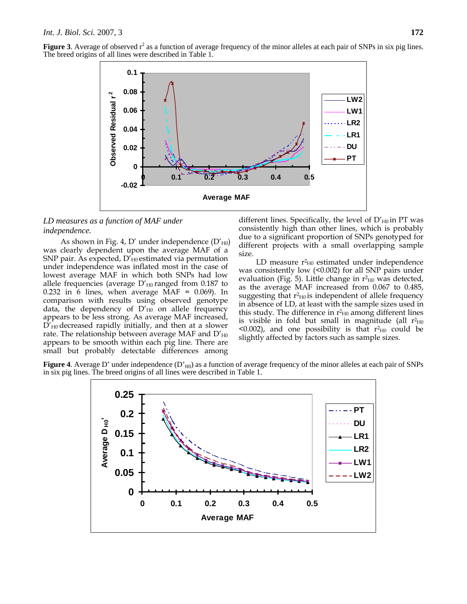



### *LD measures as a function of MAF under independence.*

As shown in Fig. 4, D' under independence  $(D'_{H0})$ was clearly dependent upon the average MAF of a SNP pair. As expected,  $D'_{H0}$  estimated via permutation under independence was inflated most in the case of lowest average MAF in which both SNPs had low allele frequencies (average  $D'_{H0}$  ranged from 0.187 to 0.232 in 6 lines, when average MAF =  $0.069$ ). In comparison with results using observed genotype data, the dependency of  $D'_{H0}$  on allele frequency appears to be less strong. As average MAF increased,  $D'_{H0}$  decreased rapidly initially, and then at a slower rate. The relationship between average MAF and  $D'_{H0}$ appears to be smooth within each pig line. There are small but probably detectable differences among

different lines. Specifically, the level of  $D'_{H0}$  in PT was consistently high than other lines, which is probably due to a significant proportion of SNPs genotyped for different projects with a small overlapping sample size.

LD measure  $r^2$ <sub>H0</sub> estimated under independence was consistently low (<0.002) for all SNP pairs under evaluation (Fig. 5). Little change in  $r^2$ <sub>H0</sub> was detected, as the average MAF increased from 0.067 to 0.485, suggesting that  $r^2H10}$  is independent of allele frequency in absence of LD, at least with the sample sizes used in this study. The difference in  $r^2$ <sub>H0</sub> among different lines is visible in fold but small in magnitude (all  $r^2_{\rm H0}$  $\leq 0.002$ ), and one possibility is that  $r^2$ <sub>H0</sub> could be slightly affected by factors such as sample sizes.

Figure 4. Average D' under independence (D'<sub>H0</sub>) as a function of average frequency of the minor alleles at each pair of SNPs in six pig lines. The breed origins of all lines were described in Table 1.

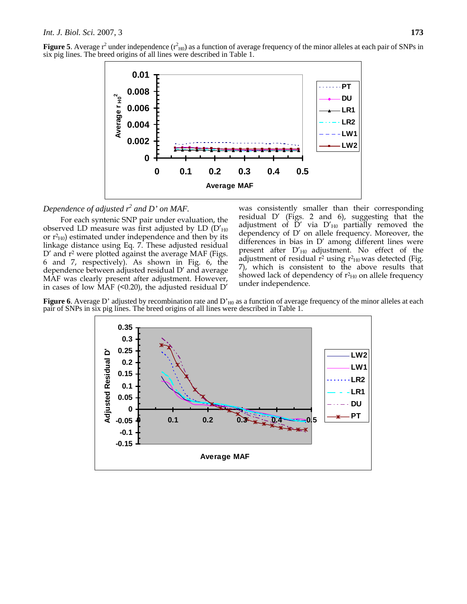**Figure 5**. Average r<sup>2</sup> under independence ( $r^2_{H0}$ ) as a function of average frequency of the minor alleles at each pair of SNPs in six pig lines. The breed origins of all lines were described in Table 1.



# *Dependence of adjusted r2 and D' on MAF.*

For each syntenic SNP pair under evaluation, the observed LD measure was first adjusted by LD  $(D'_{H0})$ or  $r^2$ <sub>H0</sub>) estimated under independence and then by its linkage distance using Eq. 7. These adjusted residual D' and r<sup>2</sup> were plotted against the average MAF (Figs. 6 and 7, respectively). As shown in Fig. 6, the dependence between adjusted residual D' and average MAF was clearly present after adjustment. However, in cases of low MAF (<0.20), the adjusted residual D'

was consistently smaller than their corresponding residual D' (Figs. 2 and 6), suggesting that the adjustment of  $\check{D}'$  via  $D'_{H0}$  partially removed the dependency of D' on allele frequency. Moreover, the differences in bias in D' among different lines were present after  $D'_{H0}$  adjustment. No effect of the adjustment of residual  $r^2$  using  $r^2$ <sub>H0</sub> was detected (Fig. 7), which is consistent to the above results that showed lack of dependency of  $r^2$ <sub>H0</sub> on allele frequency under independence.

**Figure 6**. Average D' adjusted by recombination rate and D'<sub>H0</sub> as a function of average frequency of the minor alleles at each pair of SNPs in six pig lines. The breed origins of all lines were described in Table 1.

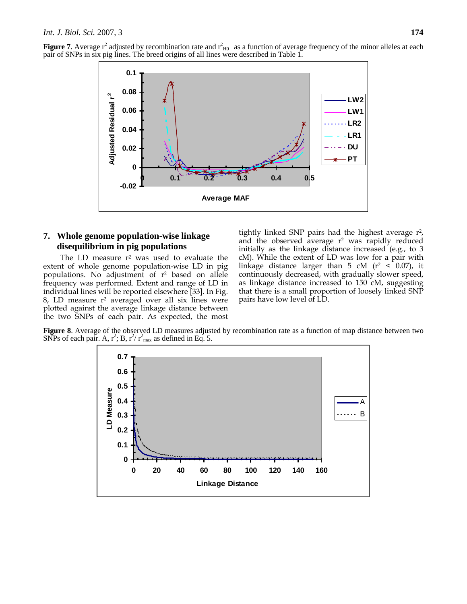**Figure 7**. Average  $r^2$  adjusted by recombination rate and  $r^2_{H0}$  as a function of average frequency of the minor alleles at each pair of SNPs in six pig lines. The breed origins of all lines were described in Table 1.



### **7. Whole genome population-wise linkage disequilibrium in pig populations**

The LD measure  $r^2$  was used to evaluate the extent of whole genome population-wise LD in pig populations. No adjustment of r2 based on allele frequency was performed. Extent and range of LD in individual lines will be reported elsewhere [33]. In Fig. 8, LD measure  $r^2$  averaged over all six lines were plotted against the average linkage distance between the two SNPs of each pair. As expected, the most tightly linked SNP pairs had the highest average  $r^2$ , and the observed average r<sup>2</sup> was rapidly reduced initially as the linkage distance increased (e.g., to 3 cM). While the extent of LD was low for a pair with linkage distance larger than 5 cM  $(r^2 \lt 0.07)$ , it continuously decreased, with gradually slower speed, as linkage distance increased to 150 cM, suggesting that there is a small proportion of loosely linked SNP pairs have low level of LD.

**Figure 8**. Average of the observed LD measures adjusted by recombination rate as a function of map distance between two SNPs of each pair. A,  $r^2$ ; B,  $r^2/r^2$ <sub>max</sub> as defined in Eq. 5.

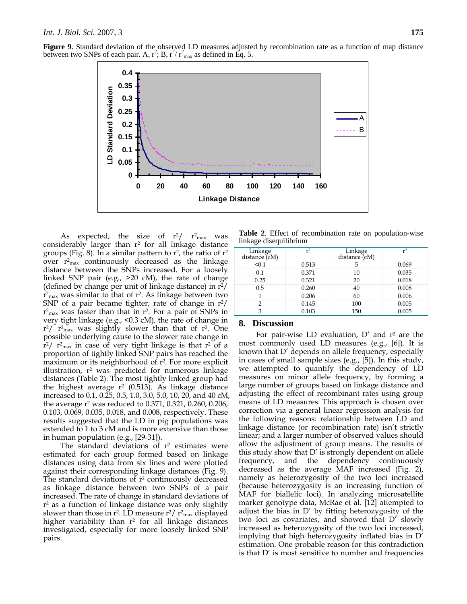**Figure 9**. Standard deviation of the observed LD measures adjusted by recombination rate as a function of map distance between two SNPs of each pair. A,  $r^2$ ; B,  $r^2/r^2_{\text{max}}$  as defined in Eq. 5.



As expected, the size of  $r^2$ /  $r^2$ <sub>max</sub> was considerably larger than  $r^2$  for all linkage distance groups (Fig. 8). In a similar pattern to  $r^2$ , the ratio of  $r^2$ over r2 max continuously decreased as the linkage distance between the SNPs increased. For a loosely linked SNP pair (e.g., >20 cM), the rate of change (defined by change per unit of linkage distance) in  $r^2$ /  $r<sup>2</sup>$ <sub>max</sub> was similar to that of  $r<sup>2</sup>$ . As linkage between two SNP of a pair became tighter, rate of change in  $r^2$ r2 max was faster than that in r2. For a pair of SNPs in very tight linkage (e.g., <0.3 cM), the rate of change in  $r^2$ /  $r^2$ <sub>max</sub> was slightly slower than that of  $r^2$ . One possible underlying cause to the slower rate change in  $r^2$ /  $r^2$ <sub>max</sub> in case of very tight linkage is that  $r^2$  of a proportion of tightly linked SNP pairs has reached the maximum or its neighborhood of r<sup>2</sup>. For more explicit illustration,  $r^2$  was predicted for numerous linkage distances (Table 2). The most tightly linked group had the highest average  $r^2$  (0.513). As linkage distance increased to 0.1, 0.25, 0.5, 1.0, 3.0, 5.0, 10, 20, and 40 cM, the average r2 was reduced to 0.371, 0.321, 0.260, 0.206, 0.103, 0.069, 0.035, 0.018, and 0.008, respectively. These results suggested that the LD in pig populations was extended to 1 to 3 cM and is more extensive than those in human population (e.g., [29-31]).

The standard deviations of  $r^2$  estimates were estimated for each group formed based on linkage distances using data from six lines and were plotted against their corresponding linkage distances (Fig. 9). The standard deviations of r<sup>2</sup> continuously decreased as linkage distance between two SNPs of a pair increased. The rate of change in standard deviations of r2 as a function of linkage distance was only slightly slower than those in  $r^2$ . LD measure  $r^2/r^2$ <sub>max</sub> displayed higher variability than  $r^2$  for all linkage distances investigated, especially for more loosely linked SNP pairs.

**Table 2**. Effect of recombination rate on population-wise linkage disequilibrium

| Linkage<br>distance (cM) | $r^2$ | Linkage<br>distance (cM) | r <sup>2</sup> |
|--------------------------|-------|--------------------------|----------------|
| < 0.1                    | 0.513 | 5                        | 0.069          |
| 0.1                      | 0.371 | 10                       | 0.035          |
| 0.25                     | 0.321 | 20                       | 0.018          |
| 0.5                      | 0.260 | 40                       | 0.008          |
|                          | 0.206 | 60                       | 0.006          |
| $\mathcal{P}$            | 0.145 | 100                      | 0.005          |
| 3                        | 0.103 | 150                      | 0.005          |
|                          |       |                          |                |

#### **8. Discussion**

For pair-wise LD evaluation,  $D'$  and  $r^2$  are the most commonly used LD measures (e.g., [6]). It is known that D' depends on allele frequency, especially in cases of small sample sizes (e.g., [5]). In this study, we attempted to quantify the dependency of LD measures on minor allele frequency, by forming a large number of groups based on linkage distance and adjusting the effect of recombinant rates using group means of LD measures. This approach is chosen over correction via a general linear regression analysis for the following reasons: relationship between LD and linkage distance (or recombination rate) isn't strictly linear; and a larger number of observed values should allow the adjustment of group means. The results of this study show that D' is strongly dependent on allele frequency, and the dependency continuously decreased as the average MAF increased (Fig. 2), namely as heterozygosity of the two loci increased (because heterozygosity is an increasing function of MAF for biallelic loci). In analyzing microsatellite marker genotype data, McRae et al. [12] attempted to adjust the bias in D' by fitting heterozygosity of the two loci as covariates, and showed that D' slowly increased as heterozygosity of the two loci increased, implying that high heterozygosity inflated bias in D' estimation. One probable reason for this contradiction is that D' is most sensitive to number and frequencies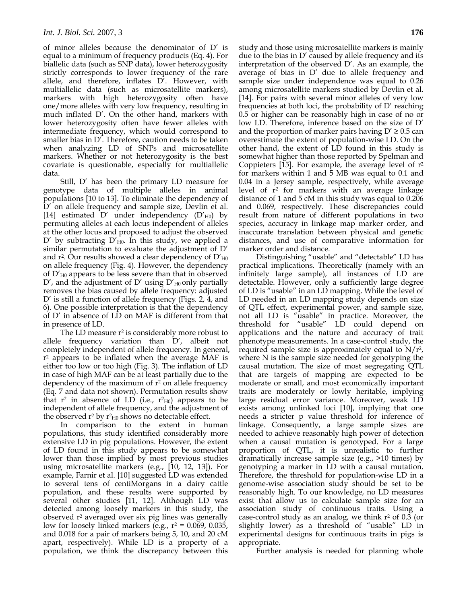of minor alleles because the denominator of D' is equal to a minimum of frequency products (Eq. 4). For biallelic data (such as SNP data), lower heterozygosity strictly corresponds to lower frequency of the rare allele, and therefore, inflates D'. However, with multiallelic data (such as microsatellite markers), markers with high heterozygosity often have one/more alleles with very low frequency, resulting in much inflated D'. On the other hand, markers with lower heterozygosity often have fewer alleles with intermediate frequency, which would correspond to smaller bias in D'. Therefore, caution needs to be taken when analyzing LD of SNPs and microsatellite markers. Whether or not heterozygosity is the best covariate is questionable, especially for multiallelic data.

Still, D' has been the primary LD measure for genotype data of multiple alleles in animal populations [10 to 13]. To eliminate the dependency of D' on allele frequency and sample size, Devlin et al. [14] estimated D' under independency  $(D'_{H0})$  by permuting alleles at each locus independent of alleles at the other locus and proposed to adjust the observed D' by subtracting  $D'_{H0}$ . In this study, we applied a similar permutation to evaluate the adjustment of D' and  $r^2$ . Our results showed a clear dependency of  $D'_{H0}$ on allele frequency (Fig. 4). However, the dependency of  $D'_{H0}$  appears to be less severe than that in observed D', and the adjustment of D' using  $D'_{H0}$  only partially removes the bias caused by allele frequency: adjusted D' is still a function of allele frequency (Figs. 2, 4, and 6). One possible interpretation is that the dependency of D' in absence of LD on MAF is different from that in presence of LD.

The LD measure  $r^2$  is considerably more robust to allele frequency variation than D', albeit not completely independent of allele frequency. In general,  $r<sup>2</sup>$  appears to be inflated when the average MAF is either too low or too high (Fig. 3). The inflation of LD in case of high MAF can be at least partially due to the dependency of the maximum of  $r^2$  on allele frequency (Eq. 7 and data not shown). Permutation results show that  $r^2$  in absence of LD (i.e.,  $r^2$ <sub>H0</sub>) appears to be independent of allele frequency, and the adjustment of the observed  $r^2$  by  $r^2H_0$  shows no detectable effect.

In comparison to the extent in human populations, this study identified considerably more extensive LD in pig populations. However, the extent of LD found in this study appears to be somewhat lower than those implied by most previous studies using microsatellite markers (e.g., [10, 12, 13]). For example, Farnir et al. [10] suggested LD was extended to several tens of centiMorgans in a dairy cattle population, and these results were supported by several other studies [11, 12]. Although LD was detected among loosely markers in this study, the observed r2 averaged over six pig lines was generally low for loosely linked markers (e.g.,  $r^2 = 0.069$ , 0.035, and 0.018 for a pair of markers being 5, 10, and 20 cM apart, respectively). While LD is a property of a population, we think the discrepancy between this

study and those using microsatellite markers is mainly due to the bias in D' caused by allele frequency and its interpretation of the observed D'. As an example, the average of bias in D' due to allele frequency and sample size under independence was equal to 0.26 among microsatellite markers studied by Devlin et al. [14]. For pairs with several minor alleles of very low frequencies at both loci, the probability of D' reaching 0.5 or higher can be reasonably high in case of no or low LD. Therefore, inference based on the size of D' and the proportion of marker pairs having  $D' \geq 0.5$  can overestimate the extent of population-wise LD. On the other hand, the extent of LD found in this study is somewhat higher than those reported by Spelman and Coppieters [15]. For example, the average level of  $r^2$ for markers within 1 and 5 MB was equal to 0.1 and 0.04 in a Jersey sample, respectively, while average level of r2 for markers with an average linkage distance of 1 and 5 cM in this study was equal to 0.206 and 0.069, respectively. These discrepancies could result from nature of different populations in two species, accuracy in linkage map marker order, and inaccurate translation between physical and genetic distances, and use of comparative information for marker order and distance.

Distinguishing "usable" and "detectable" LD has practical implications. Theoretically (namely with an infinitely large sample), all instances of LD are detectable. However, only a sufficiently large degree of LD is "usable" in an LD mapping. While the level of LD needed in an LD mapping study depends on size of QTL effect, experimental power, and sample size, not all LD is "usable" in practice. Moreover, the threshold for "usable" LD could depend on applications and the nature and accuracy of trait phenotype measurements. In a case-control study, the required sample size is approximately equal to  $N/r^2$ , where N is the sample size needed for genotyping the causal mutation. The size of most segregating QTL that are targets of mapping are expected to be moderate or small, and most economically important traits are moderately or lowly heritable, implying large residual error variance. Moreover, weak LD exists among unlinked loci [10], implying that one needs a stricter p value threshold for inference of linkage. Consequently, a large sample sizes are needed to achieve reasonably high power of detection when a causal mutation is genotyped. For a large proportion of QTL, it is unrealistic to further dramatically increase sample size (e.g., >10 times) by genotyping a marker in LD with a causal mutation. Therefore, the threshold for population-wise LD in a genome-wise association study should be set to be reasonably high. To our knowledge, no LD measures exist that allow us to calculate sample size for an association study of continuous traits. Using a case-control study as an analog, we think  $r^2$  of 0.3 (or slightly lower) as a threshold of "usable" LD in experimental designs for continuous traits in pigs is appropriate.

Further analysis is needed for planning whole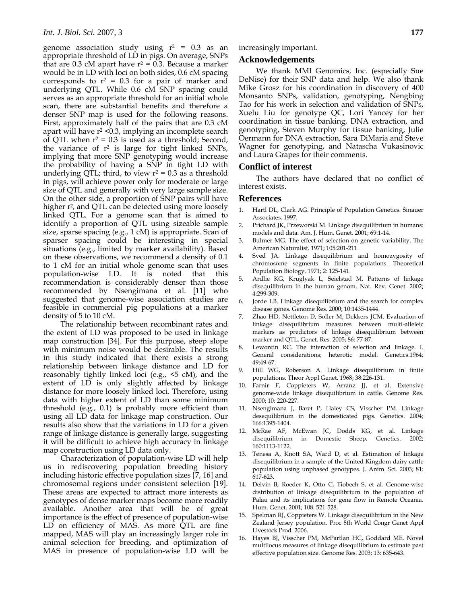genome association study using  $r^2 = 0.3$  as an appropriate threshold of LD in pigs. On average, SNPs that are 0.3 cM apart have  $r^2 = 0.3$ . Because a marker would be in LD with loci on both sides, 0.6 cM spacing corresponds to  $r^2 = 0.3$  for a pair of marker and underlying QTL. While 0.6 cM SNP spacing could serves as an appropriate threshold for an initial whole scan, there are substantial benefits and therefore a denser SNP map is used for the following reasons. First, approximately half of the pairs that are 0.3 cM apart will have  $r^2$  <0.3, implying an incomplete search of QTL when  $r^2 = 0.3$  is used as a threshold; Second, the variance of  $r^2$  is large for tight linked SNPs, implying that more SNP genotyping would increase the probability of having a SNP in tight LD with underlying QTL; third, to view  $r^2 = 0.3$  as a threshold in pigs, will achieve power only for moderate or large size of QTL and generally with very large sample size. On the other side, a proportion of SNP pairs will have higher r<sup>2</sup>, and QTL can be detected using more loosely linked QTL. For a genome scan that is aimed to identify a proportion of QTL using sizeable sample size, sparse spacing (e.g., 1 cM) is appropriate. Scan of sparser spacing could be interesting in special situations (e.g., limited by marker availability). Based on these observations, we recommend a density of 0.1 to 1 cM for an initial whole genome scan that uses population-wise LD. It is noted that this recommendation is considerably denser than those recommended by Nsengimana et al. [11] who suggested that genome-wise association studies are feasible in commercial pig populations at a marker density of 5 to 10 cM.

The relationship between recombinant rates and the extent of LD was proposed to be used in linkage map construction [34]. For this purpose, steep slope with minimum noise would be desirable. The results in this study indicated that there exists a strong relationship between linkage distance and LD for reasonably tightly linked loci (e.g., <5 cM), and the extent of LD is only slightly affected by linkage distance for more loosely linked loci. Therefore, using data with higher extent of LD than some minimum threshold (e.g., 0.1) is probably more efficient than using all LD data for linkage map construction. Our results also show that the variations in LD for a given range of linkage distance is generally large, suggesting it will be difficult to achieve high accuracy in linkage map construction using LD data only.

Characterization of population-wise LD will help us in rediscovering population breeding history including historic effective population sizes [7, 16] and chromosomal regions under consistent selection [19]. These areas are expected to attract more interests as genotypes of dense marker maps become more readily available. Another area that will be of great importance is the effect of presence of population-wise LD on efficiency of MAS. As more QTL are fine mapped, MAS will play an increasingly larger role in animal selection for breeding, and optimization of MAS in presence of population-wise LD will be increasingly important.

#### **Acknowledgements**

We thank MMI Genomics, Inc. (especially Sue DeNise) for their SNP data and help. We also thank Mike Grosz for his coordination in discovery of 400 Monsanto SNPs, validation, genotyping, Nengbing Tao for his work in selection and validation of SNPs, Xuelu Liu for genotype QC, Lori Yancey for her coordination in tissue banking, DNA extraction, and genotyping, Steven Murphy for tissue banking, Julie Oermann for DNA extraction, Sara DiMaria and Steve Wagner for genotyping, and Natascha Vukasinovic and Laura Grapes for their comments.

#### **Conflict of interest**

The authors have declared that no conflict of interest exists.

#### **References**

- 1. Hartl DL, Clark AG. Principle of Population Genetics. Sinauer Associates. 1997.
- 2. Prichard JK, Przeworski M. Linkage disequilibrium in humans: models and data. Am. J. Hum. Genet. 2001; 69:1-14.
- 3. Bulmer MG. The effect of selection on genetic variability. The American Naturalist. 1971; 105:201-211.
- 4. Sved JA. Linkage disequilibrium and homozygosity of chromosome segments in finite populations. Theoretical Population Biology. 1971; 2: 125-141.
- 5. Ardlie KG, Kruglyak L, Seielstad M. Patterns of linkage disequilibrium in the human genom. Nat. Rev. Genet. 2002; 4:299-309.
- 6. Jorde LB. Linkage disequilibrium and the search for complex disease genes. Genome Res. 2000; 10:1435-1444.
- 7. Zhao HD, Nettleton D, Soller M, Dekkers JCM. Evaluation of linkage disequilibrium measures between multi-alleleic markers as predictors of linkage disequilibrium between marker and QTL. Genet. Res. 2005; 86: 77-87.
- 8. Lewontin RC. The interaction of selection and linkage. I. General considerations; heterotic model. Genetics.1964; 49:49-67.
- 9. Hill WG, Roberson A. Linkage disequilibrium in finite populations. Theor Appl Genet. 1968; 38:226-131.
- 10. Farnir F, Coppieters W, Arranz JJ, et al. Extensive genome-wide linkage disequilibrium in cattle. Genome Res. 2000; 10: 220-227.
- 11. Nsengimana J, Baret P, Haley CS, Visscher PM. Linkage desequilibrium in the domesticated pigs. Genetics. 2004; 166:1395-1404.
- 12. McRae AF, McEwan JC, Dodds KG, et al. Linkage disequilibrium in Domestic Sheep. Genetics. 2002; 160:1113-1122.
- 13. Tenesa A, Knott SA, Ward D, et al. Estimation of linkage disequilibrium in a sample of the United Kingdom dairy cattle population using unphased genotypes. J. Anim. Sci. 2003; 81: 617-623.
- 14. Delvin B, Roeder K, Otto C, Tiobech S, et al. Genome-wise distribution of linkage disequilibrium in the population of Palau and its implications for gene flow in Remote Oceania. Hum. Genet. 2001; 108: 521-528.
- 15. Spelman RJ, Coppieters W. Linkage disequilibrium in the New Zealand Jersey population. Proc 8th World Congr Genet Appl Livestock Prod. 2006.
- 16. Hayes BJ, Visscher PM, McPartlan HC, Goddard ME. Novel multilocus measures of linkage disequilibrium to estimate past effective population size. Genome Res. 2003; 13: 635-643.